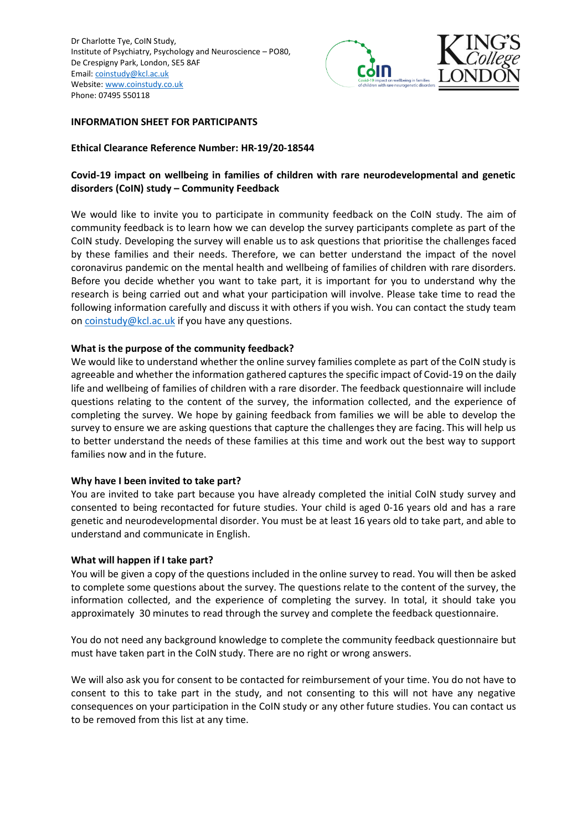

## **INFORMATION SHEET FOR PARTICIPANTS**

## **Ethical Clearance Reference Number: HR-19/20-18544**

# **Covid-19 impact on wellbeing in families of children with rare neurodevelopmental and genetic disorders (CoIN) study – Community Feedback**

We would like to invite you to participate in community feedback on the CoIN study. The aim of community feedback is to learn how we can develop the survey participants complete as part of the CoIN study. Developing the survey will enable us to ask questions that prioritise the challenges faced by these families and their needs. Therefore, we can better understand the impact of the novel coronavirus pandemic on the mental health and wellbeing of families of children with rare disorders. Before you decide whether you want to take part, it is important for you to understand why the research is being carried out and what your participation will involve. Please take time to read the following information carefully and discuss it with others if you wish. You can contact the study team on [coinstudy@kcl.ac.uk](mailto:coinstudy@kcl.ac.uk) if you have any questions.

## **What is the purpose of the community feedback?**

We would like to understand whether the online survey families complete as part of the CoIN study is agreeable and whether the information gathered captures the specific impact of Covid-19 on the daily life and wellbeing of families of children with a rare disorder. The feedback questionnaire will include questions relating to the content of the survey, the information collected, and the experience of completing the survey. We hope by gaining feedback from families we will be able to develop the survey to ensure we are asking questions that capture the challenges they are facing. This will help us to better understand the needs of these families at this time and work out the best way to support families now and in the future.

## **Why have I been invited to take part?**

You are invited to take part because you have already completed the initial CoIN study survey and consented to being recontacted for future studies. Your child is aged 0-16 years old and has a rare genetic and neurodevelopmental disorder. You must be at least 16 years old to take part, and able to understand and communicate in English.

## **What will happen if I take part?**

You will be given a copy of the questions included in the online survey to read. You will then be asked to complete some questions about the survey. The questions relate to the content of the survey, the information collected, and the experience of completing the survey. In total, it should take you approximately 30 minutes to read through the survey and complete the feedback questionnaire.

You do not need any background knowledge to complete the community feedback questionnaire but must have taken part in the CoIN study. There are no right or wrong answers.

We will also ask you for consent to be contacted for reimbursement of your time. You do not have to consent to this to take part in the study, and not consenting to this will not have any negative consequences on your participation in the CoIN study or any other future studies. You can contact us to be removed from this list at any time.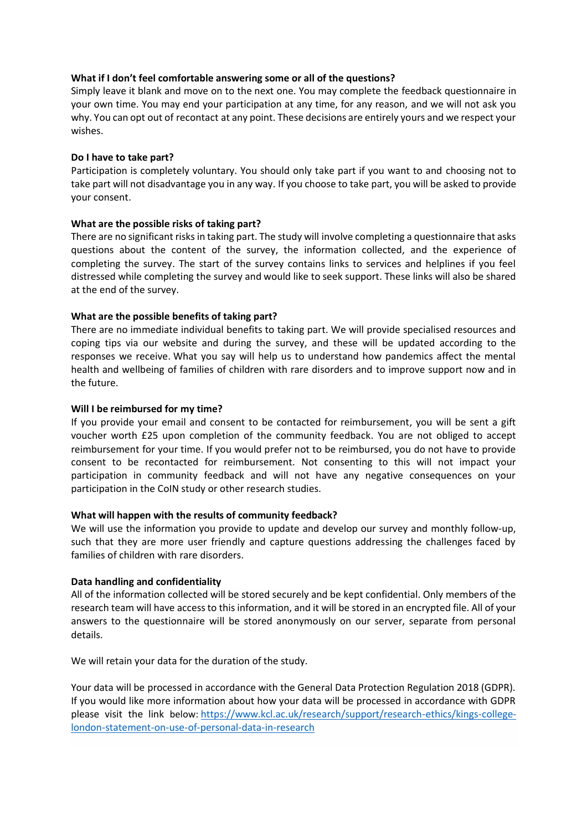## **What if I don't feel comfortable answering some or all of the questions?**

Simply leave it blank and move on to the next one. You may complete the feedback questionnaire in your own time. You may end your participation at any time, for any reason, and we will not ask you why. You can opt out of recontact at any point. These decisions are entirely yours and we respect your wishes.

# **Do I have to take part?**

Participation is completely voluntary. You should only take part if you want to and choosing not to take part will not disadvantage you in any way. If you choose to take part, you will be asked to provide your consent.

# **What are the possible risks of taking part?**

There are no significant risks in taking part. The study will involve completing a questionnaire that asks questions about the content of the survey, the information collected, and the experience of completing the survey. The start of the survey contains links to services and helplines if you feel distressed while completing the survey and would like to seek support. These links will also be shared at the end of the survey.

# **What are the possible benefits of taking part?**

There are no immediate individual benefits to taking part. We will provide specialised resources and coping tips via our website and during the survey, and these will be updated according to the responses we receive. What you say will help us to understand how pandemics affect the mental health and wellbeing of families of children with rare disorders and to improve support now and in the future.

# **Will I be reimbursed for my time?**

If you provide your email and consent to be contacted for reimbursement, you will be sent a gift voucher worth £25 upon completion of the community feedback. You are not obliged to accept reimbursement for your time. If you would prefer not to be reimbursed, you do not have to provide consent to be recontacted for reimbursement. Not consenting to this will not impact your participation in community feedback and will not have any negative consequences on your participation in the CoIN study or other research studies.

## **What will happen with the results of community feedback?**

We will use the information you provide to update and develop our survey and monthly follow-up, such that they are more user friendly and capture questions addressing the challenges faced by families of children with rare disorders.

## **Data handling and confidentiality**

All of the information collected will be stored securely and be kept confidential. Only members of the research team will have access to this information, and it will be stored in an encrypted file. All of your answers to the questionnaire will be stored anonymously on our server, separate from personal details.

We will retain your data for the duration of the study.

Your data will be processed in accordance with the General Data Protection Regulation 2018 (GDPR). If you would like more information about how your data will be processed in accordance with GDPR please visit the link below: [https://www.kcl.ac.uk/research/support/research-ethics/kings-college](https://www.kcl.ac.uk/research/support/research-ethics/kings-college-london-statement-on-use-of-personal-data-in-research)[london-statement-on-use-of-personal-data-in-research](https://www.kcl.ac.uk/research/support/research-ethics/kings-college-london-statement-on-use-of-personal-data-in-research)